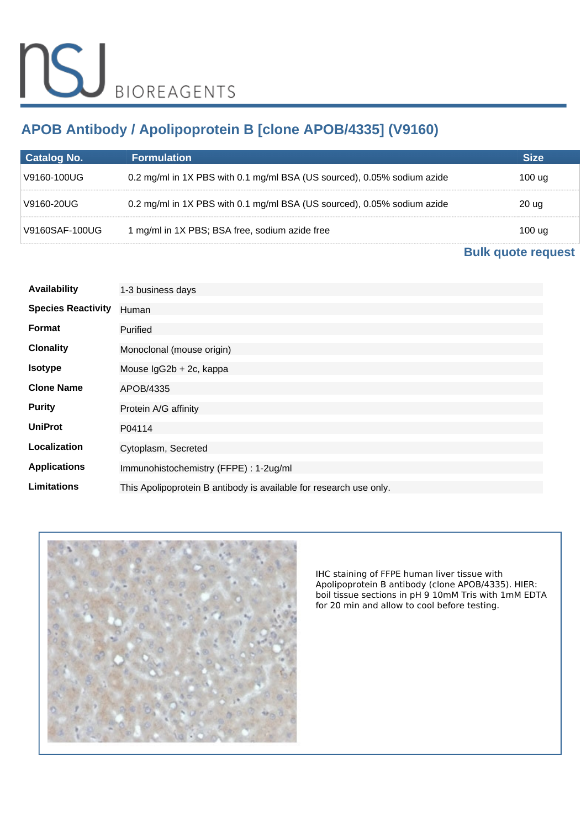# **APOB Antibody / Apolipoprotein B [clone APOB/4335] (V9160)**

| <b>Catalog No.</b> | <b>Formulation</b>                                                      | Size   |
|--------------------|-------------------------------------------------------------------------|--------|
| ∀9160-100UG \      | 0.2 mg/ml in 1X PBS with 0.1 mg/ml BSA (US sourced), 0.05% sodium azide | 100 ua |
| V9160-20UG         | 0.2 mg/ml in 1X PBS with 0.1 mg/ml BSA (US sourced), 0.05% sodium azide | 20 ug  |
| V9160SAF-100UG     | 1 mg/ml in 1X PBS; BSA free, sodium azide free                          | 100 ug |

# **[Bulk quote request](https://www.nsjbio.com/bulk_quotereq.php?root_cat_no=V9160)**

| <b>Availability</b>       | 1-3 business days                                                  |
|---------------------------|--------------------------------------------------------------------|
| <b>Species Reactivity</b> | Human                                                              |
| Format                    | Purified                                                           |
| <b>Clonality</b>          | Monoclonal (mouse origin)                                          |
| <b>Isotype</b>            | Mouse IgG2b + 2c, kappa                                            |
| <b>Clone Name</b>         | APOB/4335                                                          |
| <b>Purity</b>             | Protein A/G affinity                                               |
| <b>UniProt</b>            | P04114                                                             |
| Localization              | Cytoplasm, Secreted                                                |
| <b>Applications</b>       | Immunohistochemistry (FFPE) : 1-2ug/ml                             |
| <b>Limitations</b>        | This Apolipoprotein B antibody is available for research use only. |



*IHC staining of FFPE human liver tissue with Apolipoprotein B antibody (clone APOB/4335). HIER: boil tissue sections in pH 9 10mM Tris with 1mM EDTA for 20 min and allow to cool before testing.*